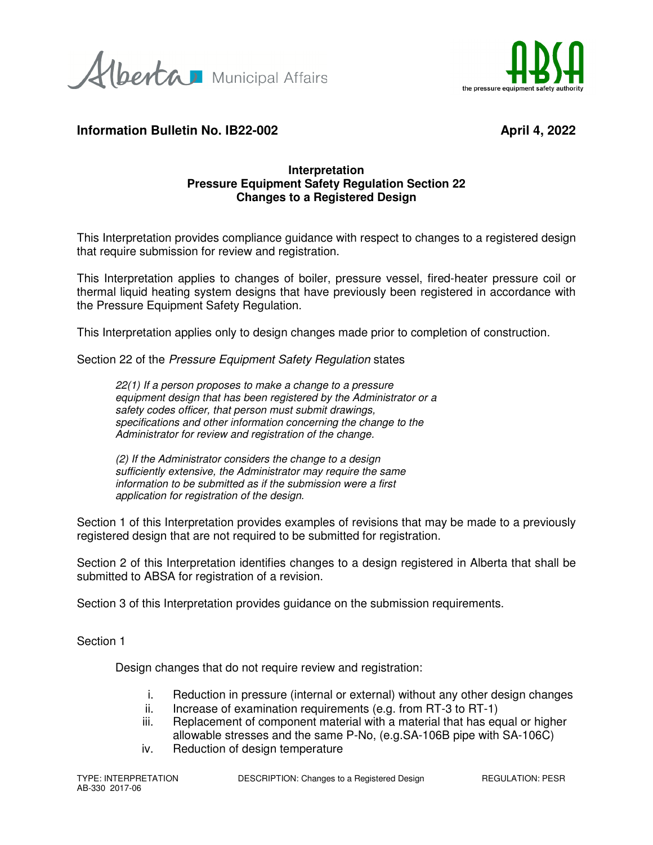Alberta Municipal Affairs



# **Information Bulletin No. IB22-002** April 4, 2022

### **Interpretation Pressure Equipment Safety Regulation Section 22 Changes to a Registered Design**

This Interpretation provides compliance guidance with respect to changes to a registered design that require submission for review and registration.

This Interpretation applies to changes of boiler, pressure vessel, fired-heater pressure coil or thermal liquid heating system designs that have previously been registered in accordance with the Pressure Equipment Safety Regulation.

This Interpretation applies only to design changes made prior to completion of construction.

Section 22 of the Pressure Equipment Safety Regulation states

22(1) If a person proposes to make a change to a pressure equipment design that has been registered by the Administrator or a safety codes officer, that person must submit drawings, specifications and other information concerning the change to the Administrator for review and registration of the change.

(2) If the Administrator considers the change to a design sufficiently extensive, the Administrator may require the same information to be submitted as if the submission were a first application for registration of the design.

Section 1 of this Interpretation provides examples of revisions that may be made to a previously registered design that are not required to be submitted for registration.

Section 2 of this Interpretation identifies changes to a design registered in Alberta that shall be submitted to ABSA for registration of a revision.

Section 3 of this Interpretation provides guidance on the submission requirements.

Section 1

Design changes that do not require review and registration:

- i. Reduction in pressure (internal or external) without any other design changes
- ii. Increase of examination requirements (e.g. from RT-3 to RT-1)
- iii. Replacement of component material with a material that has equal or higher allowable stresses and the same P-No, (e.g.SA-106B pipe with SA-106C)
- iv. Reduction of design temperature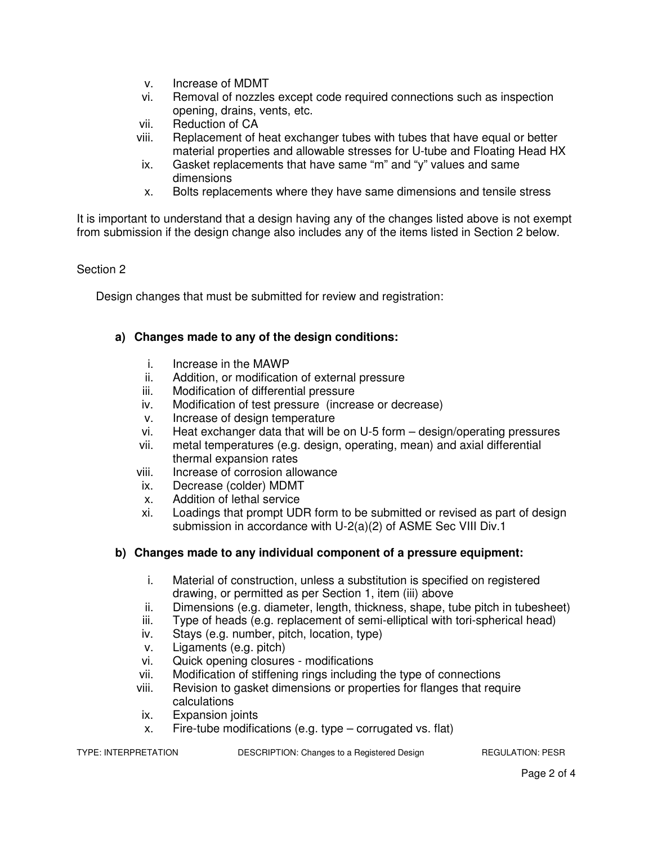- v. Increase of MDMT
- vi. Removal of nozzles except code required connections such as inspection opening, drains, vents, etc.
- vii. Reduction of CA
- viii. Replacement of heat exchanger tubes with tubes that have equal or better material properties and allowable stresses for U-tube and Floating Head HX
- ix. Gasket replacements that have same "m" and "y" values and same dimensions
- x. Bolts replacements where they have same dimensions and tensile stress

It is important to understand that a design having any of the changes listed above is not exempt from submission if the design change also includes any of the items listed in Section 2 below.

## Section 2

Design changes that must be submitted for review and registration:

## **a) Changes made to any of the design conditions:**

- i. Increase in the MAWP
- ii. Addition, or modification of external pressure
- iii. Modification of differential pressure
- iv. Modification of test pressure (increase or decrease)
- v. Increase of design temperature
- vi. Heat exchanger data that will be on U-5 form design/operating pressures
- vii. metal temperatures (e.g. design, operating, mean) and axial differential thermal expansion rates
- viii. Increase of corrosion allowance
- ix. Decrease (colder) MDMT
- x. Addition of lethal service
- xi. Loadings that prompt UDR form to be submitted or revised as part of design submission in accordance with U-2(a)(2) of ASME Sec VIII Div.1

#### **b) Changes made to any individual component of a pressure equipment:**

- i. Material of construction, unless a substitution is specified on registered drawing, or permitted as per Section 1, item (iii) above
- ii. Dimensions (e.g. diameter, length, thickness, shape, tube pitch in tubesheet)
- iii. Type of heads (e.g. replacement of semi-elliptical with tori-spherical head)
- iv. Stays (e.g. number, pitch, location, type)
- v. Ligaments (e.g. pitch)
- vi. Quick opening closures modifications
- vii. Modification of stiffening rings including the type of connections
- viii. Revision to gasket dimensions or properties for flanges that require calculations
- ix. Expansion joints
- x. Fire-tube modifications (e.g. type corrugated vs. flat)

TYPE: INTERPRETATION DESCRIPTION: Changes to a Registered Design REGULATION: PESR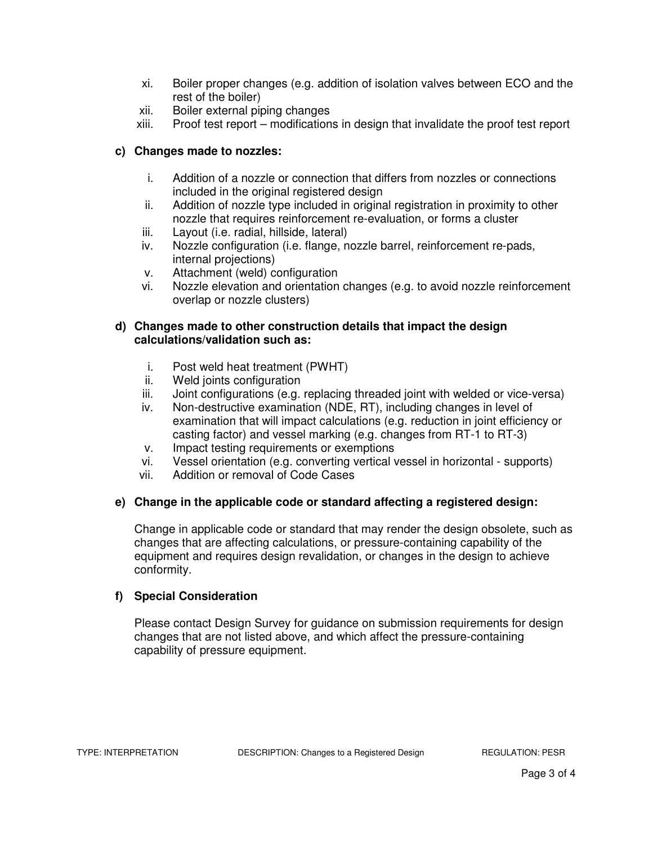- xi. Boiler proper changes (e.g. addition of isolation valves between ECO and the rest of the boiler)
- xii. Boiler external piping changes
- xiii. Proof test report modifications in design that invalidate the proof test report

### **c) Changes made to nozzles:**

- i. Addition of a nozzle or connection that differs from nozzles or connections included in the original registered design
- ii. Addition of nozzle type included in original registration in proximity to other nozzle that requires reinforcement re-evaluation, or forms a cluster
- iii. Layout (i.e. radial, hillside, lateral)
- iv. Nozzle configuration (i.e. flange, nozzle barrel, reinforcement re-pads, internal projections)
- v. Attachment (weld) configuration
- vi. Nozzle elevation and orientation changes (e.g. to avoid nozzle reinforcement overlap or nozzle clusters)

### **d) Changes made to other construction details that impact the design calculations/validation such as:**

- i. Post weld heat treatment (PWHT)
- ii. Weld joints configuration
- iii. Joint configurations (e.g. replacing threaded joint with welded or vice-versa)
- iv. Non-destructive examination (NDE, RT), including changes in level of examination that will impact calculations (e.g. reduction in joint efficiency or casting factor) and vessel marking (e.g. changes from RT-1 to RT-3)
- v. Impact testing requirements or exemptions
- vi. Vessel orientation (e.g. converting vertical vessel in horizontal supports)
- vii. Addition or removal of Code Cases

## **e) Change in the applicable code or standard affecting a registered design:**

Change in applicable code or standard that may render the design obsolete, such as changes that are affecting calculations, or pressure-containing capability of the equipment and requires design revalidation, or changes in the design to achieve conformity.

## **f) Special Consideration**

Please contact Design Survey for guidance on submission requirements for design changes that are not listed above, and which affect the pressure-containing capability of pressure equipment.